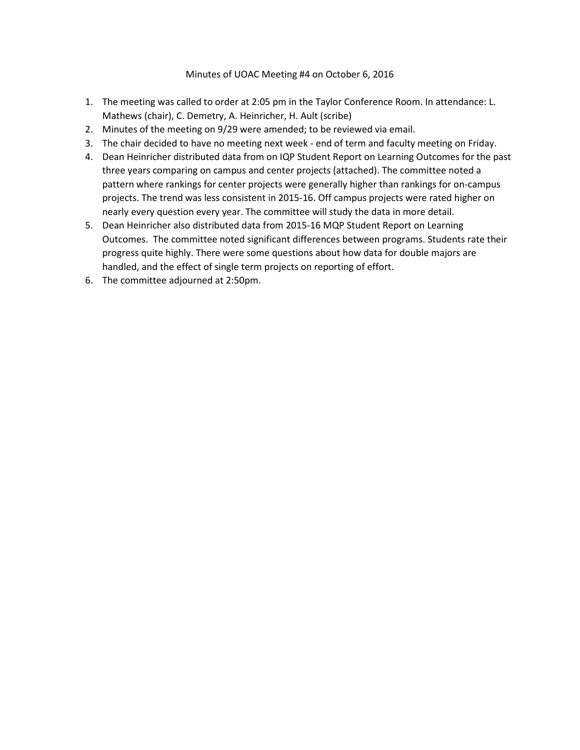## Minutes of UOAC Meeting #4 on October 6, 2016

- 1. The meeting was called to order at 2:05 pm in the Taylor Conference Room. In attendance: L. Mathews (chair), C. Demetry, A. Heinricher, H. Ault (scribe)
- 2. Minutes of the meeting on 9/29 were amended; to be reviewed via email.
- 3. The chair decided to have no meeting next week end of term and faculty meeting on Friday.
- 4. Dean Heinricher distributed data from on IQP Student Report on Learning Outcomes for the past three years comparing on campus and center projects (attached). The committee noted a pattern where rankings for center projects were generally higher than rankings for on-campus projects. The trend was less consistent in 2015-16. Off campus projects were rated higher on nearly every question every year. The committee will study the data in more detail.
- 5. Dean Heinricher also distributed data from 2015-16 MQP Student Report on Learning Outcomes. The committee noted significant differences between programs. Students rate their progress quite highly. There were some questions about how data for double majors are handled, and the effect of single term projects on reporting of effort.
- 6. The committee adjourned at 2:50pm.